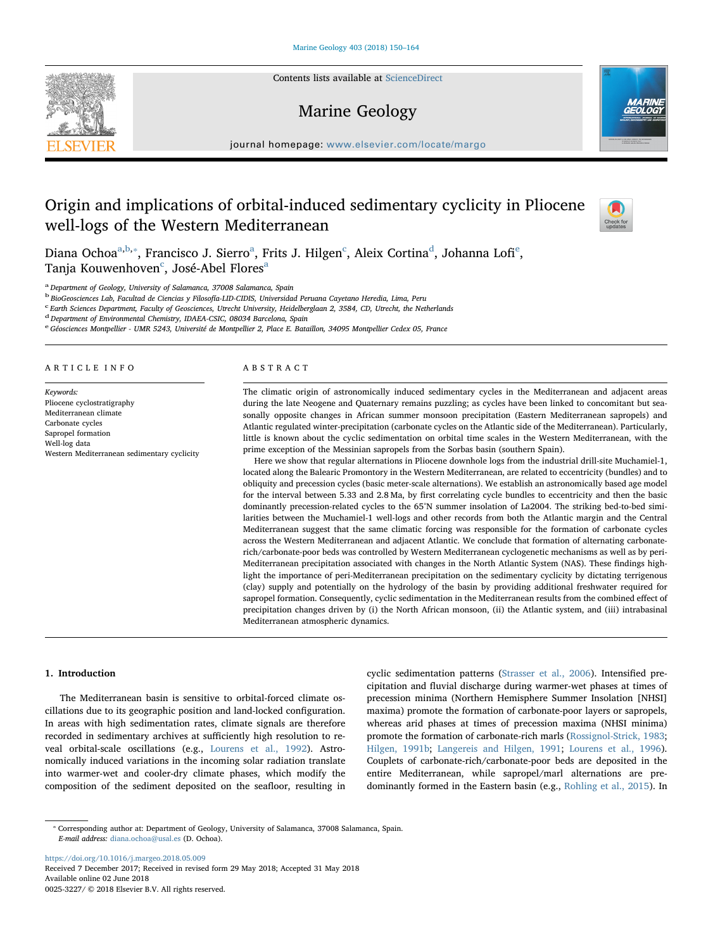Contents lists available at [ScienceDirect](http://www.sciencedirect.com/science/journal/00253227)

# Marine Geology

journal homepage: [www.elsevier.com/locate/margo](https://www.elsevier.com/locate/margo)

## Origin and implications of orbital-induced sedimentary cyclicity in Pliocene well-logs of the Western Mediterranean

Di[a](#page-0-0)na O[c](#page-0-3)hoa $^{\mathrm{a,b,*}},$  $^{\mathrm{a,b,*}},$  $^{\mathrm{a,b,*}},$  Francisco J. Si[e](#page-0-5)rro $^{\mathrm{a}}$ , Frits J. Hilgen $^{\mathrm{c}}$ , Aleix Cortina $^{\mathrm{d}}$  $^{\mathrm{d}}$  $^{\mathrm{d}}$ , Johanna Lofi $^{\mathrm{e}}$ , Tanja Kouwenhoven<sup>[c](#page-0-3)</sup>, José-Abel Flores<sup>[a](#page-0-0)</sup>

<span id="page-0-0"></span><sup>a</sup> Department of Geology, University of Salamanca, 37008 Salamanca, Spain

<span id="page-0-1"></span><sup>b</sup> BioGeosciences Lab, Facultad de Ciencias y Filosofía-LID-CIDIS, Universidad Peruana Cayetano Heredia, Lima, Peru

<span id="page-0-3"></span><sup>c</sup> Earth Sciences Department, Faculty of Geosciences, Utrecht University, Heidelberglaan 2, 3584, CD, Utrecht, the Netherlands

<span id="page-0-4"></span><sup>d</sup> Department of Environmental Chemistry, IDAEA-CSIC, 08034 Barcelona, Spain

<span id="page-0-5"></span>e Géosciences Montpellier - UMR 5243, Université de Montpellier 2, Place E. Bataillon, 34095 Montpellier Cedex 05, France

#### ARTICLE INFO

Keywords: Pliocene cyclostratigraphy Mediterranean climate Carbonate cycles Sapropel formation Well-log data Western Mediterranean sedimentary cyclicity

## ABSTRACT

The climatic origin of astronomically induced sedimentary cycles in the Mediterranean and adjacent areas during the late Neogene and Quaternary remains puzzling; as cycles have been linked to concomitant but seasonally opposite changes in African summer monsoon precipitation (Eastern Mediterranean sapropels) and Atlantic regulated winter-precipitation (carbonate cycles on the Atlantic side of the Mediterranean). Particularly, little is known about the cyclic sedimentation on orbital time scales in the Western Mediterranean, with the prime exception of the Messinian sapropels from the Sorbas basin (southern Spain).

Here we show that regular alternations in Pliocene downhole logs from the industrial drill-site Muchamiel-1, located along the Balearic Promontory in the Western Mediterranean, are related to eccentricity (bundles) and to obliquity and precession cycles (basic meter-scale alternations). We establish an astronomically based age model for the interval between 5.33 and 2.8 Ma, by first correlating cycle bundles to eccentricity and then the basic dominantly precession-related cycles to the 65°N summer insolation of La2004. The striking bed-to-bed similarities between the Muchamiel-1 well-logs and other records from both the Atlantic margin and the Central Mediterranean suggest that the same climatic forcing was responsible for the formation of carbonate cycles across the Western Mediterranean and adjacent Atlantic. We conclude that formation of alternating carbonaterich/carbonate-poor beds was controlled by Western Mediterranean cyclogenetic mechanisms as well as by peri-Mediterranean precipitation associated with changes in the North Atlantic System (NAS). These findings highlight the importance of peri-Mediterranean precipitation on the sedimentary cyclicity by dictating terrigenous (clay) supply and potentially on the hydrology of the basin by providing additional freshwater required for sapropel formation. Consequently, cyclic sedimentation in the Mediterranean results from the combined effect of precipitation changes driven by (i) the North African monsoon, (ii) the Atlantic system, and (iii) intrabasinal Mediterranean atmospheric dynamics.

#### 1. Introduction

The Mediterranean basin is sensitive to orbital-forced climate oscillations due to its geographic position and land-locked configuration. In areas with high sedimentation rates, climate signals are therefore recorded in sedimentary archives at sufficiently high resolution to reveal orbital-scale oscillations (e.g., [Lourens et al., 1992](#page--1-0)). Astronomically induced variations in the incoming solar radiation translate into warmer-wet and cooler-dry climate phases, which modify the composition of the sediment deposited on the seafloor, resulting in

cyclic sedimentation patterns ([Strasser et al., 2006\)](#page--1-1). Intensified precipitation and fluvial discharge during warmer-wet phases at times of precession minima (Northern Hemisphere Summer Insolation [NHSI] maxima) promote the formation of carbonate-poor layers or sapropels, whereas arid phases at times of precession maxima (NHSI minima) promote the formation of carbonate-rich marls [\(Rossignol-Strick, 1983](#page--1-2); [Hilgen, 1991b;](#page--1-3) [Langereis and Hilgen, 1991](#page--1-4); [Lourens et al., 1996](#page--1-5)). Couplets of carbonate-rich/carbonate-poor beds are deposited in the entire Mediterranean, while sapropel/marl alternations are predominantly formed in the Eastern basin (e.g., [Rohling et al., 2015\)](#page--1-6). In

<span id="page-0-2"></span>⁎ Corresponding author at: Department of Geology, University of Salamanca, 37008 Salamanca, Spain. E-mail address: [diana.ochoa@usal.es](mailto:diana.ochoa@usal.es) (D. Ochoa).

<https://doi.org/10.1016/j.margeo.2018.05.009> Received 7 December 2017; Received in revised form 29 May 2018; Accepted 31 May 2018 Available online 02 June 2018 0025-3227/ © 2018 Elsevier B.V. All rights reserved.





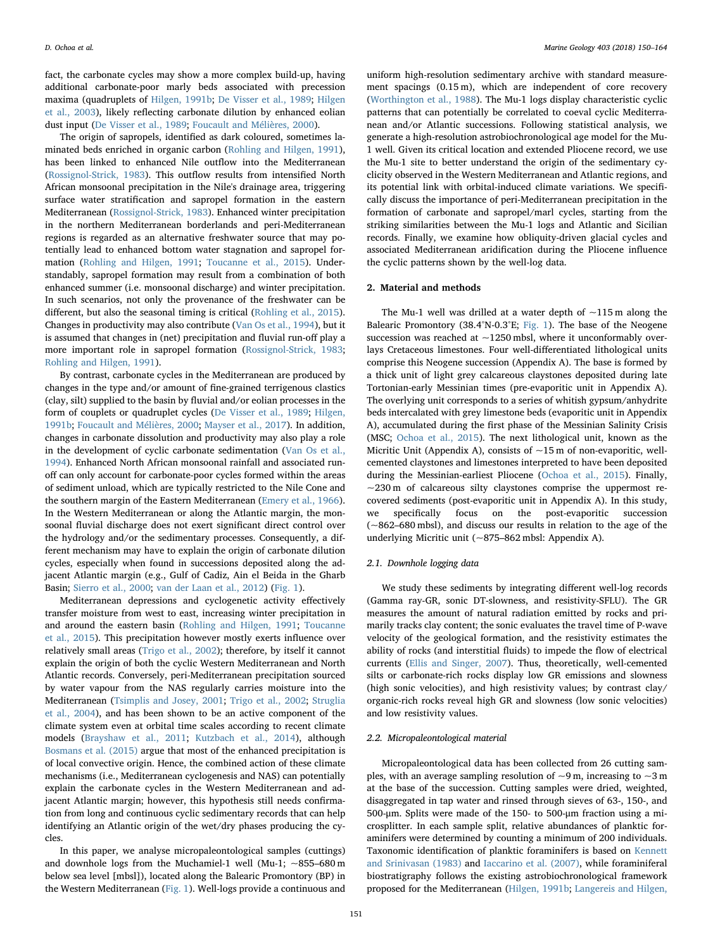fact, the carbonate cycles may show a more complex build-up, having additional carbonate-poor marly beds associated with precession maxima (quadruplets of [Hilgen, 1991b](#page--1-3); [De Visser et al., 1989](#page--1-7); [Hilgen](#page--1-8) [et al., 2003\)](#page--1-8), likely reflecting carbonate dilution by enhanced eolian dust input [\(De Visser et al., 1989](#page--1-7); [Foucault and Mélières, 2000](#page--1-9)).

The origin of sapropels, identified as dark coloured, sometimes laminated beds enriched in organic carbon ([Rohling and Hilgen, 1991](#page--1-10)), has been linked to enhanced Nile outflow into the Mediterranean ([Rossignol-Strick, 1983](#page--1-2)). This outflow results from intensified North African monsoonal precipitation in the Nile's drainage area, triggering surface water stratification and sapropel formation in the eastern Mediterranean ([Rossignol-Strick, 1983\)](#page--1-2). Enhanced winter precipitation in the northern Mediterranean borderlands and peri-Mediterranean regions is regarded as an alternative freshwater source that may potentially lead to enhanced bottom water stagnation and sapropel formation ([Rohling and Hilgen, 1991](#page--1-10); [Toucanne et al., 2015](#page--1-11)). Understandably, sapropel formation may result from a combination of both enhanced summer (i.e. monsoonal discharge) and winter precipitation. In such scenarios, not only the provenance of the freshwater can be different, but also the seasonal timing is critical ([Rohling et al., 2015](#page--1-6)). Changes in productivity may also contribute ([Van Os et al., 1994\)](#page--1-12), but it is assumed that changes in (net) precipitation and fluvial run-off play a more important role in sapropel formation [\(Rossignol-Strick, 1983](#page--1-2); [Rohling and Hilgen, 1991\)](#page--1-10).

By contrast, carbonate cycles in the Mediterranean are produced by changes in the type and/or amount of fine-grained terrigenous clastics (clay, silt) supplied to the basin by fluvial and/or eolian processes in the form of couplets or quadruplet cycles [\(De Visser et al., 1989;](#page--1-7) [Hilgen,](#page--1-3) [1991b;](#page--1-3) [Foucault and Mélières, 2000](#page--1-9); [Mayser et al., 2017](#page--1-13)). In addition, changes in carbonate dissolution and productivity may also play a role in the development of cyclic carbonate sedimentation ([Van Os et al.,](#page--1-12) [1994\)](#page--1-12). Enhanced North African monsoonal rainfall and associated runoff can only account for carbonate-poor cycles formed within the areas of sediment unload, which are typically restricted to the Nile Cone and the southern margin of the Eastern Mediterranean ([Emery et al., 1966](#page--1-14)). In the Western Mediterranean or along the Atlantic margin, the monsoonal fluvial discharge does not exert significant direct control over the hydrology and/or the sedimentary processes. Consequently, a different mechanism may have to explain the origin of carbonate dilution cycles, especially when found in successions deposited along the adjacent Atlantic margin (e.g., Gulf of Cadiz, Ain el Beida in the Gharb Basin; [Sierro et al., 2000;](#page--1-15) [van der Laan et al., 2012\)](#page--1-16) [\(Fig. 1\)](#page--1-17).

Mediterranean depressions and cyclogenetic activity effectively transfer moisture from west to east, increasing winter precipitation in and around the eastern basin ([Rohling and Hilgen, 1991](#page--1-10); [Toucanne](#page--1-11) [et al., 2015](#page--1-11)). This precipitation however mostly exerts influence over relatively small areas ([Trigo et al., 2002](#page--1-18)); therefore, by itself it cannot explain the origin of both the cyclic Western Mediterranean and North Atlantic records. Conversely, peri-Mediterranean precipitation sourced by water vapour from the NAS regularly carries moisture into the Mediterranean [\(Tsimplis and Josey, 2001;](#page--1-7) [Trigo et al., 2002;](#page--1-18) [Struglia](#page--1-19) [et al., 2004\)](#page--1-19), and has been shown to be an active component of the climate system even at orbital time scales according to recent climate models ([Brayshaw et al., 2011;](#page--1-20) [Kutzbach et al., 2014\)](#page--1-21), although [Bosmans et al. \(2015\)](#page--1-22) argue that most of the enhanced precipitation is of local convective origin. Hence, the combined action of these climate mechanisms (i.e., Mediterranean cyclogenesis and NAS) can potentially explain the carbonate cycles in the Western Mediterranean and adjacent Atlantic margin; however, this hypothesis still needs confirmation from long and continuous cyclic sedimentary records that can help identifying an Atlantic origin of the wet/dry phases producing the cycles.

In this paper, we analyse micropaleontological samples (cuttings) and downhole logs from the Muchamiel-1 well (Mu-1;  $\sim$ 855–680 m below sea level [mbsl]), located along the Balearic Promontory (BP) in the Western Mediterranean [\(Fig. 1\)](#page--1-17). Well-logs provide a continuous and

uniform high-resolution sedimentary archive with standard measurement spacings (0.15 m), which are independent of core recovery ([Worthington et al., 1988\)](#page--1-23). The Mu-1 logs display characteristic cyclic patterns that can potentially be correlated to coeval cyclic Mediterranean and/or Atlantic successions. Following statistical analysis, we generate a high-resolution astrobiochronological age model for the Mu-1 well. Given its critical location and extended Pliocene record, we use the Mu-1 site to better understand the origin of the sedimentary cyclicity observed in the Western Mediterranean and Atlantic regions, and its potential link with orbital-induced climate variations. We specifically discuss the importance of peri-Mediterranean precipitation in the formation of carbonate and sapropel/marl cycles, starting from the striking similarities between the Mu-1 logs and Atlantic and Sicilian records. Finally, we examine how obliquity-driven glacial cycles and associated Mediterranean aridification during the Pliocene influence the cyclic patterns shown by the well-log data.

### 2. Material and methods

The Mu-1 well was drilled at a water depth of  $\sim$ 115 m along the Balearic Promontory (38.4°N-0.3°E; [Fig. 1](#page--1-17)). The base of the Neogene succession was reached at  $\sim$ 1250 mbsl, where it unconformably overlays Cretaceous limestones. Four well-differentiated lithological units comprise this Neogene succession (Appendix A). The base is formed by a thick unit of light grey calcareous claystones deposited during late Tortonian-early Messinian times (pre-evaporitic unit in Appendix A). The overlying unit corresponds to a series of whitish gypsum/anhydrite beds intercalated with grey limestone beds (evaporitic unit in Appendix A), accumulated during the first phase of the Messinian Salinity Crisis (MSC; [Ochoa et al., 2015](#page--1-24)). The next lithological unit, known as the Micritic Unit (Appendix A), consists of ~15 m of non-evaporitic, wellcemented claystones and limestones interpreted to have been deposited during the Messinian-earliest Pliocene ([Ochoa et al., 2015](#page--1-24)). Finally,  $\sim$ 230 m of calcareous silty claystones comprise the uppermost recovered sediments (post-evaporitic unit in Appendix A). In this study, we specifically focus on the post-evaporitic succession (~862–680 mbsl), and discuss our results in relation to the age of the underlying Micritic unit (~875–862 mbsl: Appendix A).

#### 2.1. Downhole logging data

We study these sediments by integrating different well-log records (Gamma ray-GR, sonic DT-slowness, and resistivity-SFLU). The GR measures the amount of natural radiation emitted by rocks and primarily tracks clay content; the sonic evaluates the travel time of P-wave velocity of the geological formation, and the resistivity estimates the ability of rocks (and interstitial fluids) to impede the flow of electrical currents [\(Ellis and Singer, 2007\)](#page--1-16). Thus, theoretically, well-cemented silts or carbonate-rich rocks display low GR emissions and slowness (high sonic velocities), and high resistivity values; by contrast clay/ organic-rich rocks reveal high GR and slowness (low sonic velocities) and low resistivity values.

#### 2.2. Micropaleontological material

Micropaleontological data has been collected from 26 cutting samples, with an average sampling resolution of  $\sim$ 9 m, increasing to  $\sim$ 3 m at the base of the succession. Cutting samples were dried, weighted, disaggregated in tap water and rinsed through sieves of 63-, 150-, and 500-μm. Splits were made of the 150- to 500-μm fraction using a microsplitter. In each sample split, relative abundances of planktic foraminifers were determined by counting a minimum of 200 individuals. Taxonomic identification of planktic foraminifers is based on [Kennett](#page--1-25) [and Srinivasan \(1983\)](#page--1-25) and [Iaccarino et al. \(2007\)](#page--1-26), while foraminiferal biostratigraphy follows the existing astrobiochronological framework proposed for the Mediterranean [\(Hilgen, 1991b;](#page--1-3) [Langereis and Hilgen,](#page--1-4)